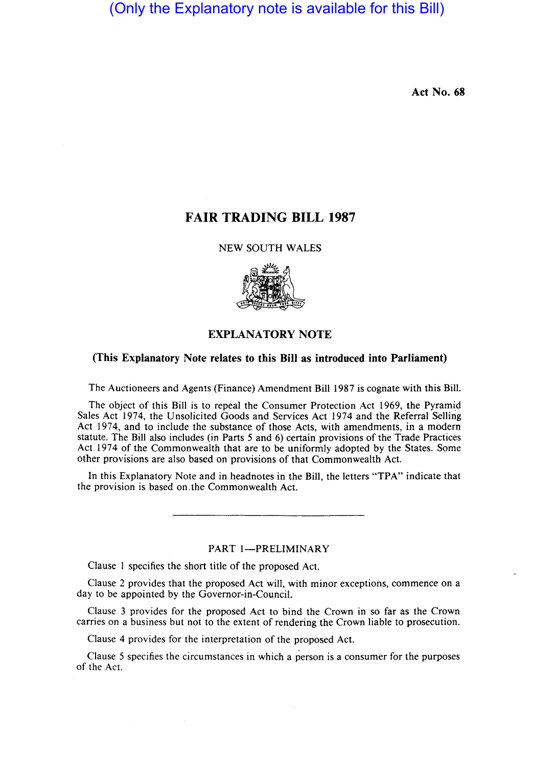(Only the Explanatory note is available for this Bill)

Act No. 68

# FAIR TRADING BILL 1987

NEW SOUTH WALES



# EXPLANATORY NOTE

# (This Explanatory Note relates to this Bill as introduced into Parliament)

The Auctioneers and Agents (Finance) Amendment Bill 1987 is cognate with this Bill.

The object of this Bill is to repeal the Consumer Protection Act 1969, the Pyramid Sales Act 1974, the Unsolicited Goods and Services Act 1974 and the Referral Selling Act 1974, and to include the substance of those Acts, with amendments, in a modern statute. The Bill also includes (in Parts 5 and 6) certain provisions of the Trade Practices Act 1974 of the Commonwealth that are to be uniformly adopted by the States. Some other provisions are also based on provisions of that Commonwealth Act.

In this Explanatory Note and in head notes in the Bill, the letters "TPA" indicate that the provision is based on.the Commonwealth Act.

PART 1-PRELIMINARY

Clause I specifies the short title of the proposed Act.

Clause 2 provides that the proposed Act will, with minor exceptions, commence on a day to be appointed by the Governor-in-Council.

Clause 3 provides for the proposed Act to bind the Crown in so far as the Crown carries on a business but not to the extent of rendering the Crown liable to prosecution.

Clause 4 provides for the interpretation of the proposed Act.

Clause 5 specifies the circumstances in which a person is a consumer for the purposes of the Act.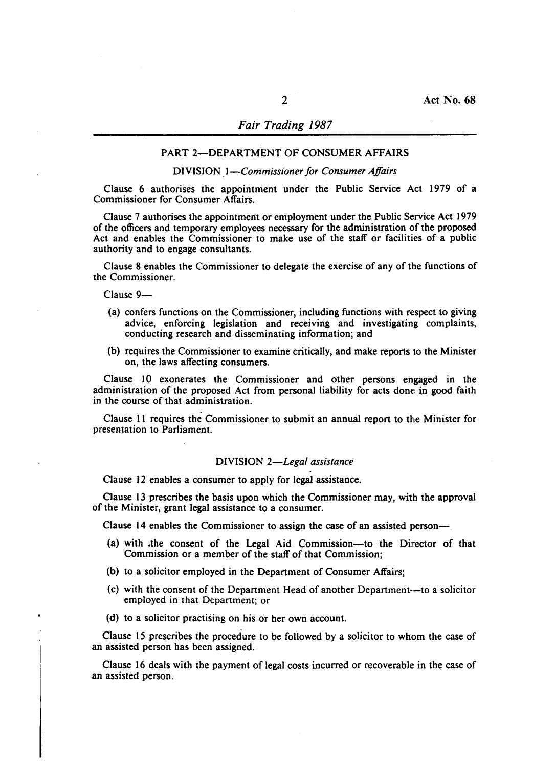#### PART 2--DEPARTMENT OF CONSUMER AFFAIRS

#### DIVISION . *I-Commissioner for Consumer Affairs*

Clause 6 authorises the appointment under the Public Service Act 1979 of a Commissioner for Consumer Affairs.

Clause 7 authorises the appointment or employment under the Public Service Act 1979 of the officers and temporary employees necessary for the administration of the proposed Act and enables the Commissioner to make use of the staff or facilities of a public authority and to engage consultants.

Clause 8 enables the Commissioner to delegate the exercise of any of the functions of the Commissioner.

Clause 9-

- (a) confers functions on the Commissioner, including functions with respect to giving advice, enforcing legislation and receiving and investigating complaints, conducting research and disseminating information; and
- (b) requires the Commissioner to examine critically, and make reports to the Minister on, the laws affecting consumers.

Clause 10 exonerates the Commissioner and other persons engaged in the administration of the proposed Act from personal liability for acts done in good faith in the course of that administration.

Clause II requires the Commissioner to submit an annual report to the Minister for presentation to Parliament.

#### DIVISION *2-Lega/ assistance*

Clause 12 enables a consumer to apply for legal assistance.

Clause 13 prescribes the basis upon which the Commissioner may, with the approval of the Minister, grant legal assistance to a consumer.

Clause 14 enables the Commissioner to assign the case of an assisted person-

- (a) with .the consent of the Legal Aid Commission-to the Director of that Commission or a member of the staff of that Commission;
- (b) to a solicitor employed in the Department of Consumer Affairs;
- (c) with the consent of the Department Head of another Department--to a solicitor employed in that Department; or
- (d) to a solicitor practising on his or her own account.

Clause 15 prescribes the procedure to be followed by a solicitor to whom the case of an assisted person has been assigned.

Clause 16 deals with the payment of legal costs incurred or recoverable in the case of an assisted person.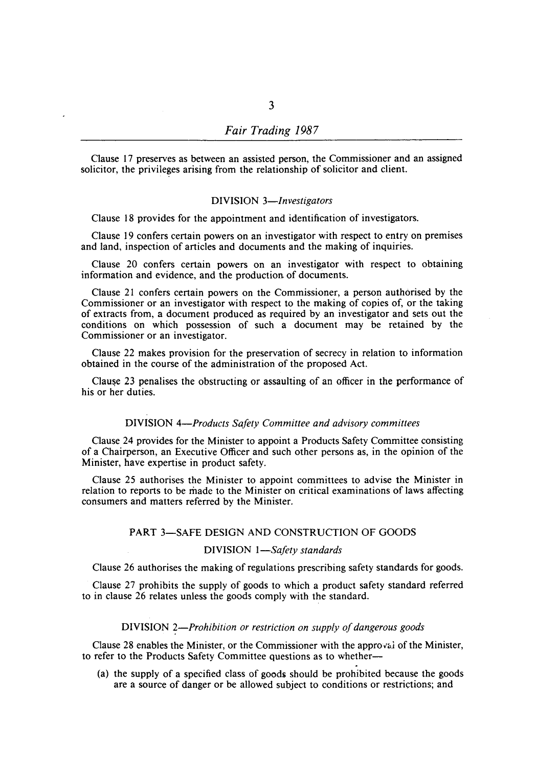Clause 17 preserves as between an assisted person, the Commissioner and an assigned solicitor, the privileges arising from the relationship of solicitor and client.

### DIVISION *3-Investigators*

Clause 18 provides for the appointment and identification of investigators.

Clause 19 confers certain powers on an investigator with respect to entry on premises and land, inspection of articles and documents and the making of inquiries.

Clause 20 confers certain powers on an investigator with respect to obtaining information and evidence, and the production of documents.

Clause 21 confers certain powers on the Commissioner, a person authorised by the Commissioner or an investigator with respect to the making of copies of, or the taking of extracts from, a document produced as required by an investigator and sets out the conditions on which possession of such a document may be retained by the Commissioner or an investigator.

Clause 22 makes provision for the preservation of secrecy in relation to information obtained in the course of the administration of the proposed Act.

Clause 23 penalises the obstructing or assaulting of an officer in the performance of his or her duties.

## DIVISION *4-Products Safety Committee and advisory committees*

Clause 24 provides for the Minister to appoint a Products Safety Committee consisting of a Chairperson, an Executive Officer and such other persons as, in the opinion of the Minister, have expertise in product safety.

Clause 25 authorises the Minister to appoint committees to advise the Minister in relation to reports to be made to the Minister on critical examinations of laws affecting consumers and matters referred by the Minister.

# PART 3-SAFE DESIGN AND CONSTRUCTION OF GOODS

# DIVISION *I-Safety standards*

Clause 26 authorises the making of regulations prescribing safety standards for goods.

Clause 27 prohibits the supply of goods to which a product safety standard referred to in clause 26 relates unless the goods comply with the standard.

### DIVISION 2-Prohibition or restriction on supply of dangerous goods

Clause 28 enables the Minister, or the Commissioner with the approval of the Minister, to refer to the Products Safety Committee questions as to whether-

(a) the supply of a specified class of goods should be prohibited because the goods are a source of danger or be allowed subject to conditions or restrictions; and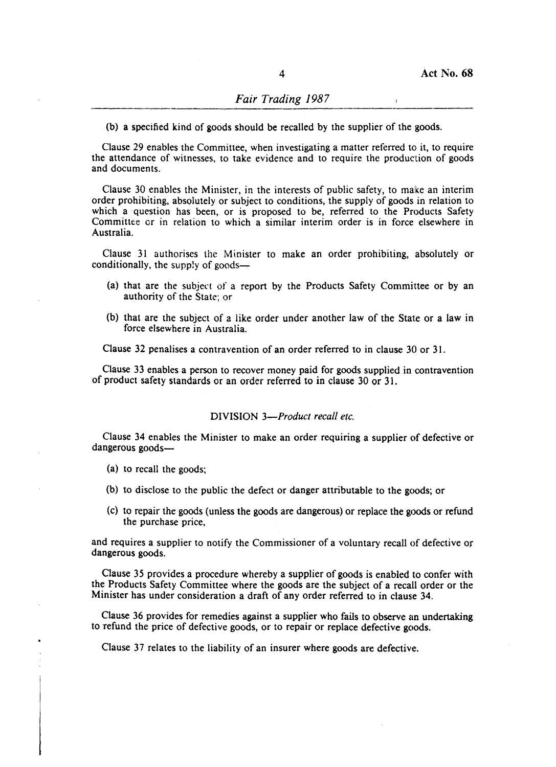$\ddot{\phantom{a}}$ 

(b) a specified kind of goods should be recalled by the supplier of the goods.

Clause 29 enables the Committee, when investigating a matter referred to it, to require the attendance of witnesses, to take evidence and to require the production of goods and documents.

Clause 30 enables the Minister, in the interests of public safety, to make an interim order prohibiting, absolutely or subject to conditions, the supply of goods in relation to which a question has been, or is proposed to be, referred to the Products Safety Committee or in relation to which a similar interim order is in force elsewhere in Australia.

Clause 31 authorises the Minister to make an order prohibiting, absolutely or conditionally, the supply of goods-

- (a) that are the subjert of a report by the Products Safety Commilttee or by an authority of the State; or
- (b) that are the subject of a like order under another law of the State or a law in force elsewhere in Australia.

Clause 32 penalises a contravention of an order referred to in clause 30 or 31.

Clause 33 enables a person to recover money paid for goods supplied in contravention of product safety standards or an order referred to in clause 30 or 31.

### DIVISION 3-Product recall etc.

Clause 34 enables the Minister to make an order requiring a supplier of defective or dangerous goods-

(a) to recall the goods;

- (b) to disclose to the public the defect or danger attributable to the goods; or
- (c) to repair the goods (unless the goods are dangerous) or replace the goods or refund the purchase price,

and requires a supplier to notify the Commissioner of a voluntary recall of defective or dangerous goods.

Clause 35 provides a procedure whereby a supplier of goods is enabled to confer with the Products Safety Committee where the goods are the subject of a recall order or the Minister has under consideration a draft of any order referred to in clause 34.

Clause 36 provides for remedies against a supplier who fails to observe an undertaking to refund the price of defective goods, or to repair or replace defective goods.

Clause 37 relates to the liability of an insurer where goods are defective.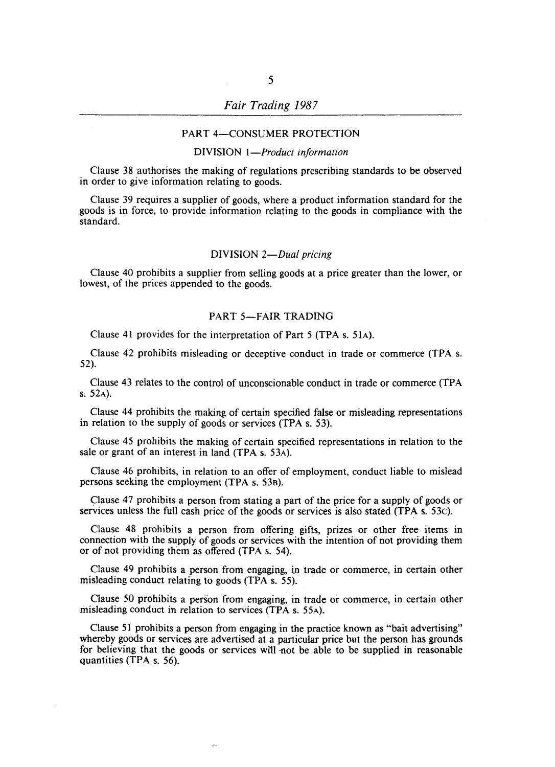# *Fair Trading 1987*

### PART 4-CONSUMER PROTECTION

# DIVISION 1-Product information

Clause 38 authorises the making of regulations prescribing standards to be observed in order to give information relating to goods.

Clause 39 requires a supplier of goods, where a product information standard for the goods is in force, to provide information relating to the goods in compliance with the standard.

#### DIVISION *2-Dual pricing*

Clause 40 prohibits a supplier from selling goods at a price greater than the lower, or lowest, of the prices appended to the goods.

# PART 5-FAIR TRADING

Clause 41 provides for the interpretation of Part 5 (TPA s. 51A).

Clause 42 prohibits misleading or deceptive conduct in trade or commerce (TPA s. 52).

Clause 43 relates to the control of unconscionable conduct in trade or commerce (TPA s. 52A).

Clause 44 prohibits the making of certain specified faIse or misleading representations in relation to the supply of goods or services (TPA s. 53).

Clause 45 prohibits the making of certain specified representations in relation to the sale or grant of an interest in land (TPA s. 53A).

Clause 46 prohibits, in relation to an offer of employment, conduct liable to mislead persons seeking the employment (TPA s. 53B).

Clause 47 prohibits a person from stating a part of the price for a supply of goods or services unless the full cash price of the goods or services is also stated (TPA s. 53c).

Clause 48 prohibits a person from offering gifts, prizes or other free items in connection with the supply of goods or services with the intention of not providing them or of not providing them as offered (TPA s. 54).

Clause 49 prohibits a person from engaging, in trade or commerce, in certain other misleading conduct relating to goods (TPA s. 55).

Clause 50 prohibits a person from engaging, in trade or commerce, in certain other misleading conduct in relation to services (TPA s. 55A).

Clause 51 prohibits a person from engaging in the practice known as "bait advertising" whereby goods or services are advertised at a particular price but the person has grounds for believing that the goods or services will not be able to be supplied in reasonable quantities (TPA s. 56).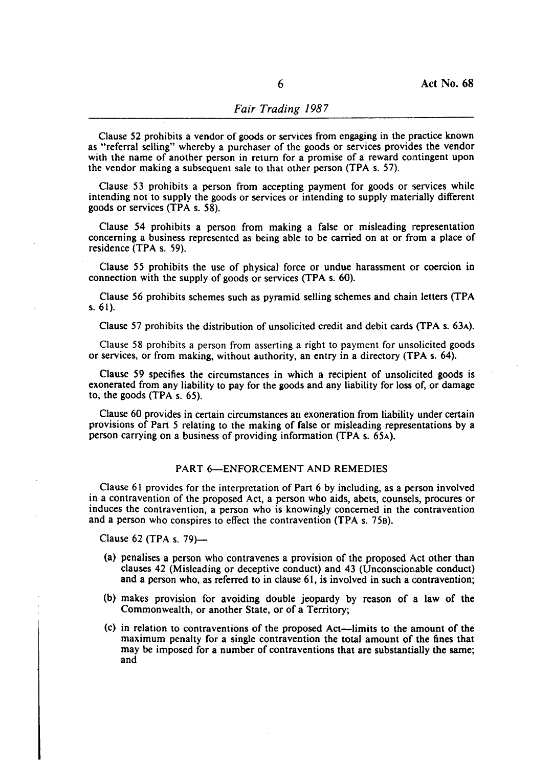Clause 52 prohibits a vendor of goods or services from engaging in the practice known as "referral selling" whereby a purchaser of the goods or services provides the vendor with the name of another person in return for a promise of a reward contingent upon the vendor making a subsequent sale to that other person (TPA s. 57).

Clause 53 prohibits a person from accepting payment for goods or services while intending not to supply the goods or services or intending to supply materially different goods or services (TPA s. 58).

Clause 54 prohibits a person from making a false or misleading representation concerning a business represented as being able to be carried on at or from a place of residence (TPA s. 59).

Clause 55 prohibits the use of physical force or undue harassment or coercion in connection with the supply of goods or services (TPA s. 60).

Clause 56 prohibits schemes such as pyramid selling schemes and chain letters (TPA s. 6 I).

Clause 57 prohibits the distribution of unsolicited credit and debit cards (TPA s. 63A).

Clause 58 prohibits a person from asserting a right to payment for unsolicited goods or services, or from making, without authority, an entry in a directory (TPA s. 64).

Clause 59 specifies the circumstances in which a recipient of unsolicited goods is exonerated from any liability to pay for the goods and any liability for loss of, or damage to, the goods (TPA s. 65).

Clause 60 provides in certain circumstances an exoneration from liability under certain provisions of Part 5 relating to the making of false or misleading representations by a person carrying on a business of providing information (TPA s. 65A).

# PART 6-ENFORCEMENT AND REMEDIES

Clause 61 provides for the interpretation of Part 6 by including, as a pe:rson involved in a contravention of the proposed Act, a person who aids, abets, counsels, procures or induces the contravention, a person who is knowingly concerned in the contravention and a person who conspires to effect the contravention (TPA s. 75B).

Clause 62 (TPA s.  $79$ )-

- (a) penalises a person who contravenes a provision of the proposed Act other than clauses 42 (Misleading or deceptive conduct) and 43 (Unconscionable conduct) and a person who, as referred to in clause  $61$ , is involved in such a contravention;
- (b) makes provision for avoiding double jeopardy by reason of a law of the Commonwealth, or another State, or of a Territory;
- $(c)$  in relation to contraventions of the proposed Act—limits to the amount of the maximum penalty for a single contravention the total amount of the fines that may be imposed for a number of contraventions that are substantially the same; and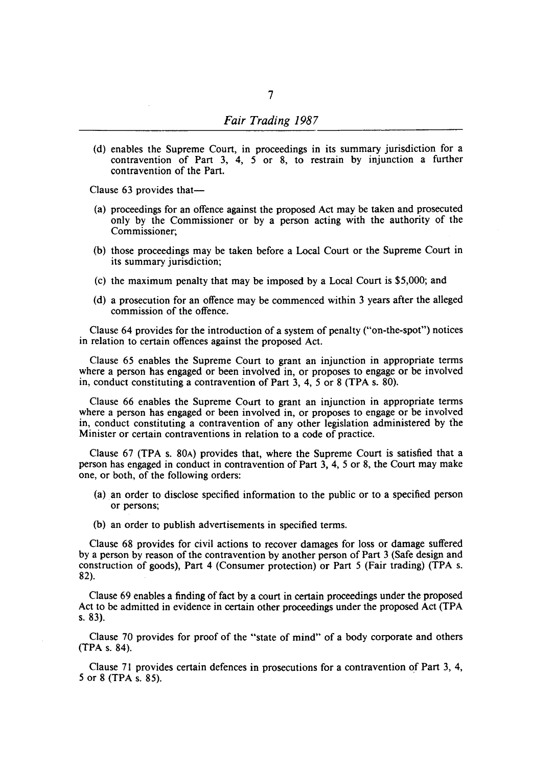(d) enables the Supreme Court, in proceedings in its summary jurisdiction for a contravention of Part 3, 4, 5 or 8, to restrain by injunction a further contravention of the Part.

Clause 63 provides that-

- (a) proceedings for an offence against the proposed Act may be taken and prosecuted only by the Commissioner or by a person acting with the authority of the Commissioner;
- (b) those proceedings may be taken before a Local Court or the Supreme Court in its summary jurisdiction;
- (c) the maximum penalty that may be imposed by a Local Court is \$5,000; and
- (d) a prosecution for an offence may be commenced within 3 years after the alleged commission of the offence.

Clause 64 provides for the introduction of a system of penalty ("on-the-spot") notices in relation to certain offences against the proposed Act.

Clause 65 enables the Supreme Court to grant an injunction in appropriate terms where a person has engaged or been involved in, or proposes to engage or be involved in, conduct constituting a contravention of Part 3, 4, 5 or 8 (TPA s. 80).

Clause 66 enables the Supreme Court to grant an injunction in appropriate terms where a person has engaged or been involved in, or proposes to engage or be involved in, conduct constituting a contravention of any other legislation administered by the Minister or certain contraventions in relation to a code of practice.

Clause 67 (TPA s. 80A) provides that, where the Supreme Court is satisfied that a person has engaged in conduct in contravention of Part 3, 4, 5 or 8, the Court may make one, or both, of the following orders:

- (a) an order to disclose specified information to the public or to a specified person or persons;
- (b) an order to publish advertisements in specified terms.

Clause 68 provides for civil actions to recover damages for loss or damage suffered by a person by reason of the contravention by another person of Part 3 (Safe design and construction of goods), Part 4 (Consumer protection) or Part 5 (Fair trading) (TPA s. 82).

Clause 69 enables a finding of fact by a court in certain proceedings under the proposed Act to be admitted in evidence in certain other proceedings under the proposed Act (TPA s.83).

Clause 70 provides for proof of the "state of mind" of a body corporate and others (TPA s. 84).

Clause 71 provides certain defences in prosecutions for a contravention of Part 3, 4, 5 or 8 (TPA s. 85).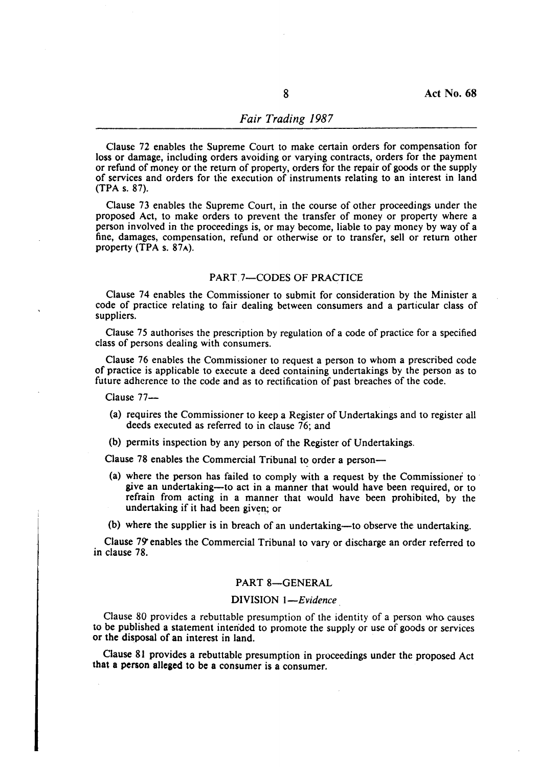# *Fair Trading 1987*

Clause 72 enables the Supreme Court to make certain orders for compensation for loss or damage, including orders avoiding or varying contracts, orders for the payment or refund of money or the return of property, orders for the repair of goods or the supply of services and orders for the execution of instruments relating to an interest in land (TPA s. 87).

Clause 73 enables the Supreme Court, in the course of other proceedings under the proposed Act, to make orders to prevent the transfer of money or property where a person involved in the proceedings is, or may become, liable to pay money by way of a fine, damages, compensation, refund or otherwise or to transfer, sell or return other property (TPA s. 87A).

### PART.7-CODES OF PRACTICE

Clause 74 enables the Commissioner to submit for consideration by the Minister a code of practice relating to fair dealing between consumers and a particular class of suppliers.

Clause 75 authorises the prescription by regulation of a code of practice for a specified class of persons dealing with consumers.

Clause 76 enables the Commissioner to request a person to whom a prescribed code of practice is applicable to execute a deed containing undertakings by the person as to future adherence to the code and as to rectification of past breaches of the code.

Clause 77-

- (a) requires the Commissioner to keep a Register of Undertakings and to register all deeds executed as referred to in clause 76; and
- (b) permits inspection by any person of the Register of Undertakings.

Clause 78 enables the Commercial Tribunal to order a person-

(a) where the person has failed to comply with a request by the Commissioner to . give an undertaking-to act in a manner that would have been required, or to refrain from acting in a manner that would have been prohibited, by the undertaking if it had been given; or

(b) where the supplier is in breach of an undertaking-to observe the undertaking.

Clause 79' enables the Commercial Tribunal to vary or discharge an order referred to in clause 78.

# PART 8-GENERAL

### DIVISION *I-Evidence*

Clause 80 provides a rebuttable presumption of the identity of a person who causes to be published a statement intended to promote the supply or use of goods or services or the disposal of an interest in land.

Clause 81 provides a rebuttable presumption in proceedings under the proposed Act that a person alleged to be a consumer is a consumer.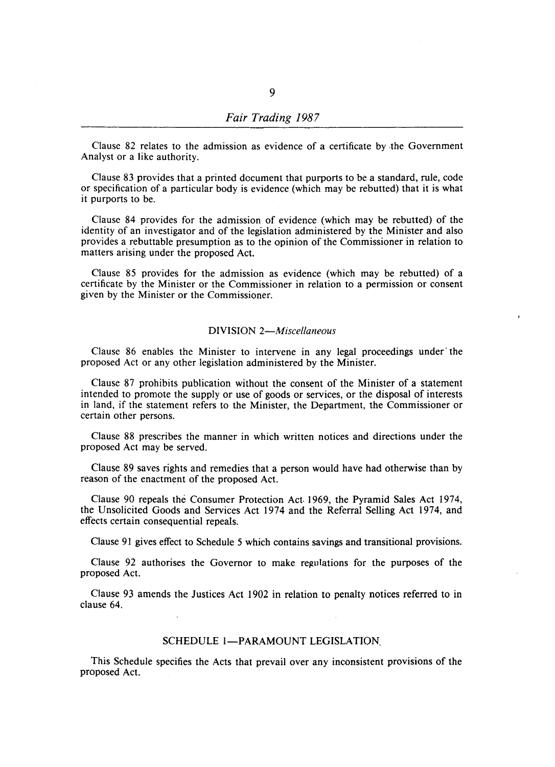# *Fair Trading 1987*

Clause 82 relates to the admission as evidence of a certificate by ,the Government Analyst or a like authority.

Clause 83 provides that a printed document that purports to be a standard, rule, code or specification of a particular body is evidence (which may be rebutted) that it is what it purports to be.

Clause 84 provides for the admission of evidence (which may be rebutted) of the identity of an investigator and of the legislation administered by the Minister and also provides a rebuttable presumption as to the opinion of the Commissioner in relation to matters arising under the proposed Act.

Clause 85 provides for the admission as evidence (which may be rebutted) of a certificate by the Minister or the Commissioner in relation to a permission or consent given by the Minister or the Commissioner.

### DIVISION *2-Miscel/aneous*

Clause 86 enables the Minister to intervene in any legal proceedings under· the proposed Act or any other legislation administered by the Minister.

Clause 87 prohibits publication without the consent of the Minister of a statement intended to promote the supply or use of goods or services, or the disposal of interests in land, if the statement refers to the Minister, the Department, the Commissioner or certain other persons.

Clause 88 prescribes the manner in which written notices and directions under the proposed Act may be served.

Clause 89 saves rights and remedies that a person would have had otherwise than by reason of the enactment of the proposed Act.

Clause 90 repeals the Consumer Protection Act· 1969, the Pyramid Sales Act 1974, the Unsolicited Goods and Services Act 1974 and the Referral Selling Act 1974, and effects certain consequential repeals.

Clause 91 gives effect to Schedule 5 which contains savings and transitional provisions.

Clause 92 authorises the Governor to make regulations for the purposes of the proposed Act.

Clause 93 amends the Justices Act 1902 in relation to penalty notices referred to in clause 64.

# SCHEDULE 1-PARAMOUNT LEGISLATION.

This Schedule specifies the Acts that prevail over any inconsistent provisions of the proposed Act.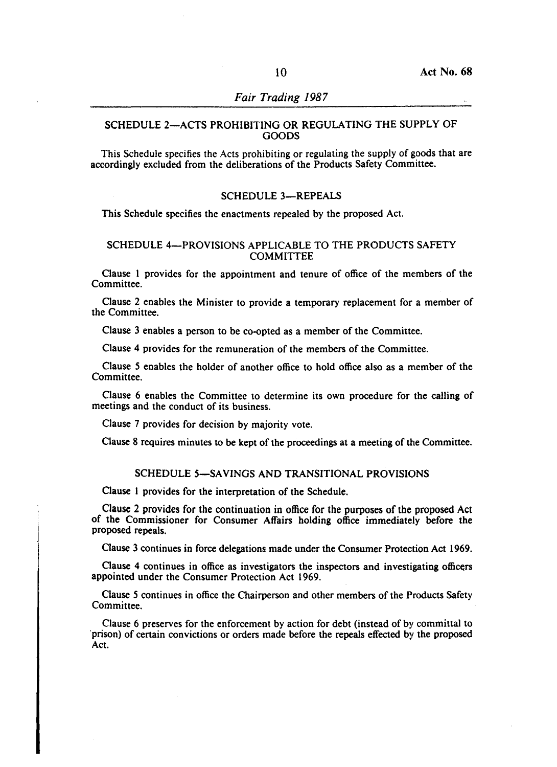# SCHEDULE 2-ACTS PROHIBITING OR REGULATING THE SUPPLY OF GOODS

This Schedule specifies the Acts prohibiting or regulating the supply of goods that are accordingly excluded from the deliberations of the Products Safety Committee.

### SCHEDULE 3-REPEALS

This Schedule specifies the enactments repealed by the proposed Act.

# SCHEDULE 4-PROVISIONS APPLICABLE TO THE PRODUCTS SAFETY **COMMITTEE**

Clause I provides for the appointment and tenure of office of the members of the Committee.

Clause 2 enables the Minister to provide a temporary replacement for a member of the Committee.

Clause 3 enables a person to be co-opted as a member of the Committee.

Clause 4 provides for the remuneration of the members of the Committee.

Clause 5 enables the holder of another office to hold office also as a member of the Committee.

Clause 6 enables the Committee to determine its own procedure for the calling of meetings and the conduct of its business.

Clause 7 provides for decision by majority vote.

Clause 8 requires minutes to be kept of the proceedings at a meeting of the Committee.

# SCHEDULE 5-SAVINGS AND TRANSITIONAL PROVISIONS

Clause I provides for the interpretation of the Schedule.

Clause 2 provides for the continuation in office for the purposes of the proposed Act of the Commissioner for Consumer Affairs holding office immediately before the proposed repeals.

Clause 3 continues in force delegations made under the Consumer Protection Act 1969.

Clause 4 continues in office as investigators the inspectors and investigating officers appointed under the Consumer Protection Act 1969.

Clause 5 continues in office the Chairperson and other members of the Products Safety Committee.

Clause 6 preserves for the enforcement by action for debt (instead of by committal to 'prison) of certain convictions or orders made before the repeals effected by the proposed Act.